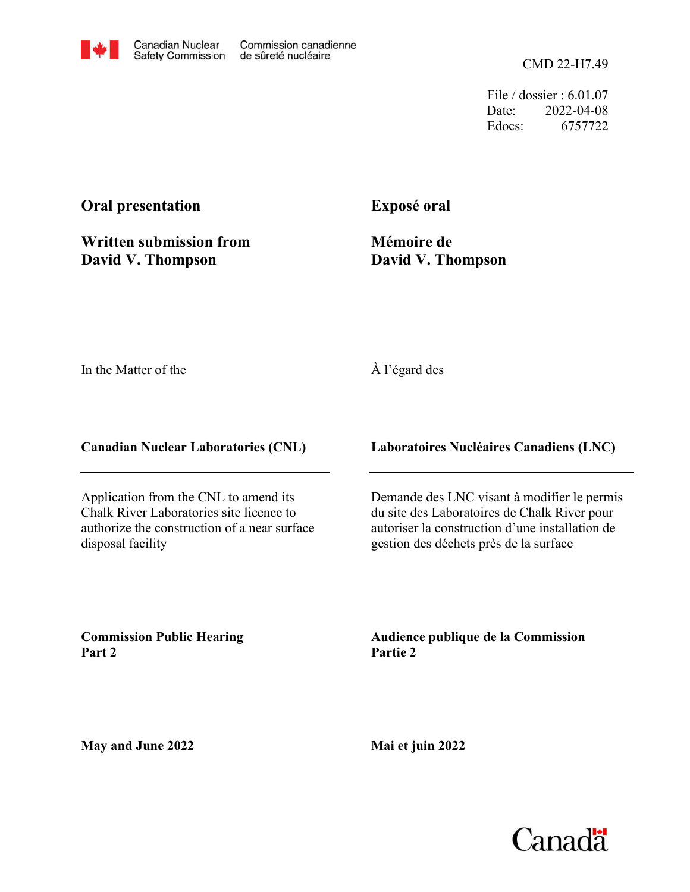CMD 22-H7.49

File / dossier : 6.01.07 Date: 2022-04-08 Edocs: 6757722

## **Oral presentation**

**Written submission from David V. Thompson**

**Exposé oral**

**Mémoire de David V. Thompson**

In the Matter of the

## À l'égard des

**Canadian Nuclear Laboratories (CNL)**

Application from the CNL to amend its Chalk River Laboratories site licence to authorize the construction of a near surface disposal facility

**Laboratoires Nucléaires Canadiens (LNC)**

Demande des LNC visant à modifier le permis du site des Laboratoires de Chalk River pour autoriser la construction d'une installation de gestion des déchets près de la surface

**Commission Public Hearing Part 2**

**Audience publique de la Commission Partie 2**

**May and June 2022**

**Mai et juin 2022**

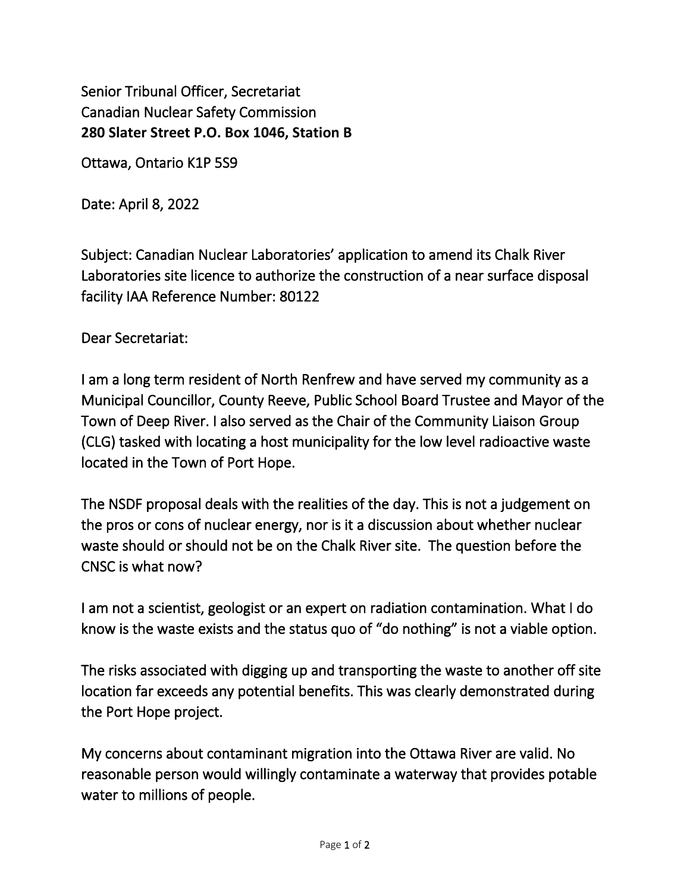Senior Tribunal Officer, Secretariat Canadian Nuclear Safety Commission **280 Slater Street P.O. Box 1046, Station B** 

Ottawa, Ontario K1P 5S9

Date: April 8, 2022

Subject: Canadian Nuclear Laboratories' application to amend its Chalk River Laboratories site licence to authorize the construction of a near surface disposal facility IAA Reference Number: 80122

Dear Secretariat:

I am a long term resident of North Renfrew and have served my community as a Municipal Councillor, County Reeve, Public School Board Trustee and Mayor of the Town of Deep River. I also served as the Chair of the Community Liaison Group (CLG) tasked with locating a host municipality for the low level radioactive waste located in the Town of Port Hope.

The NSDF proposal deals with the realities of the day. This is not a judgement on the pros or cons of nuclear energy, nor is it a discussion about whether nuclear waste should or should not be on the Chalk River site. The question before the CNSC is what now?

I am not a scientist, geologist or an expert on radiation contamination. What I do know is the waste exists and the status quo of "do nothing" is not a viable option.

The risks associated with digging up and transporting the waste to another off site location far exceeds any potential benefits. This was clearly demonstrated during the Port Hope project.

My concerns about contaminant migration into the Ottawa River are valid. No reasonable person would willingly contaminate a waterway that provides potable water to millions of people.